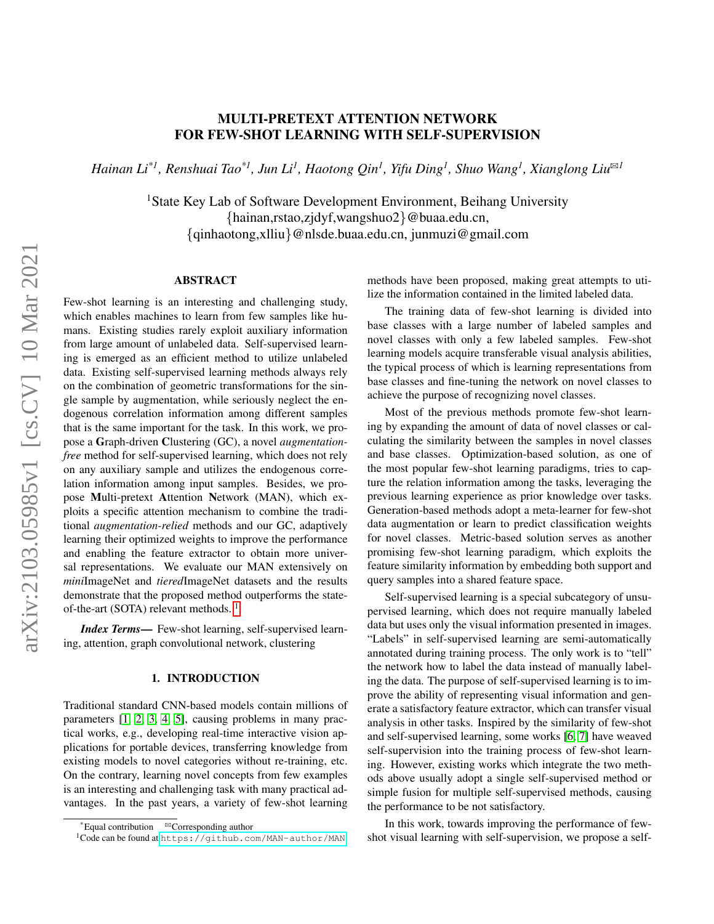# MULTI-PRETEXT ATTENTION NETWORK FOR FEW-SHOT LEARNING WITH SELF-SUPERVISION

 $H$ ainan Li<sup>\*1</sup>, Renshuai Tao<sup>\*1</sup>, Jun Li<sup>1</sup>, Haotong Qin<sup>1</sup>, Yifu Ding<sup>1</sup>, Shuo Wang<sup>1</sup>, Xianglong Liu<sup>⊠1</sup>

<sup>1</sup>State Key Lab of Software Development Environment, Beihang University {hainan,rstao,zjdyf,wangshuo2}@buaa.edu.cn, {qinhaotong,xlliu}@nlsde.buaa.edu.cn, junmuzi@gmail.com

## ABSTRACT

Few-shot learning is an interesting and challenging study, which enables machines to learn from few samples like humans. Existing studies rarely exploit auxiliary information from large amount of unlabeled data. Self-supervised learning is emerged as an efficient method to utilize unlabeled data. Existing self-supervised learning methods always rely on the combination of geometric transformations for the single sample by augmentation, while seriously neglect the endogenous correlation information among different samples that is the same important for the task. In this work, we propose a Graph-driven Clustering (GC), a novel *augmentationfree* method for self-supervised learning, which does not rely on any auxiliary sample and utilizes the endogenous correlation information among input samples. Besides, we propose Multi-pretext Attention Network (MAN), which exploits a specific attention mechanism to combine the traditional *augmentation-relied* methods and our GC, adaptively learning their optimized weights to improve the performance and enabling the feature extractor to obtain more universal representations. We evaluate our MAN extensively on *mini*ImageNet and *tiered*ImageNet datasets and the results demonstrate that the proposed method outperforms the stateof-the-art (SOTA) relevant methods.  $<sup>1</sup>$  $<sup>1</sup>$  $<sup>1</sup>$ </sup>

*Index Terms*— Few-shot learning, self-supervised learning, attention, graph convolutional network, clustering

#### 1. INTRODUCTION

Traditional standard CNN-based models contain millions of parameters [\[1,](#page-5-0) [2,](#page-5-1) [3,](#page-5-2) [4,](#page-5-3) [5\]](#page-5-4), causing problems in many practical works, e.g., developing real-time interactive vision applications for portable devices, transferring knowledge from existing models to novel categories without re-training, etc. On the contrary, learning novel concepts from few examples is an interesting and challenging task with many practical advantages. In the past years, a variety of few-shot learning

methods have been proposed, making great attempts to utilize the information contained in the limited labeled data.

The training data of few-shot learning is divided into base classes with a large number of labeled samples and novel classes with only a few labeled samples. Few-shot learning models acquire transferable visual analysis abilities, the typical process of which is learning representations from base classes and fine-tuning the network on novel classes to achieve the purpose of recognizing novel classes.

Most of the previous methods promote few-shot learning by expanding the amount of data of novel classes or calculating the similarity between the samples in novel classes and base classes. Optimization-based solution, as one of the most popular few-shot learning paradigms, tries to capture the relation information among the tasks, leveraging the previous learning experience as prior knowledge over tasks. Generation-based methods adopt a meta-learner for few-shot data augmentation or learn to predict classification weights for novel classes. Metric-based solution serves as another promising few-shot learning paradigm, which exploits the feature similarity information by embedding both support and query samples into a shared feature space.

Self-supervised learning is a special subcategory of unsupervised learning, which does not require manually labeled data but uses only the visual information presented in images. "Labels" in self-supervised learning are semi-automatically annotated during training process. The only work is to "tell" the network how to label the data instead of manually labeling the data. The purpose of self-supervised learning is to improve the ability of representing visual information and generate a satisfactory feature extractor, which can transfer visual analysis in other tasks. Inspired by the similarity of few-shot and self-supervised learning, some works [\[6,](#page-5-5) [7\]](#page-5-6) have weaved self-supervision into the training process of few-shot learning. However, existing works which integrate the two methods above usually adopt a single self-supervised method or simple fusion for multiple self-supervised methods, causing the performance to be not satisfactory.

In this work, towards improving the performance of fewshot visual learning with self-supervision, we propose a self-

 $E$ qual contribution  $B$ Corresponding author

<span id="page-0-0"></span><sup>&</sup>lt;sup>1</sup>Code can be found at <https://github.com/MAN-author/MAN>.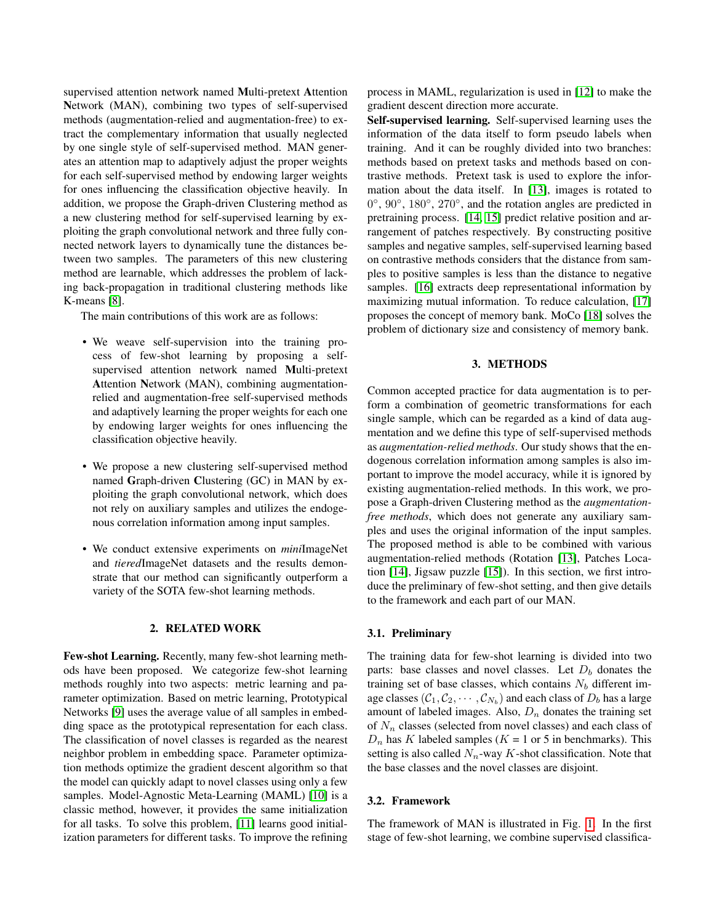supervised attention network named Multi-pretext Attention Network (MAN), combining two types of self-supervised methods (augmentation-relied and augmentation-free) to extract the complementary information that usually neglected by one single style of self-supervised method. MAN generates an attention map to adaptively adjust the proper weights for each self-supervised method by endowing larger weights for ones influencing the classification objective heavily. In addition, we propose the Graph-driven Clustering method as a new clustering method for self-supervised learning by exploiting the graph convolutional network and three fully connected network layers to dynamically tune the distances between two samples. The parameters of this new clustering method are learnable, which addresses the problem of lacking back-propagation in traditional clustering methods like K-means [\[8\]](#page-5-7).

The main contributions of this work are as follows:

- We weave self-supervision into the training process of few-shot learning by proposing a selfsupervised attention network named Multi-pretext Attention Network (MAN), combining augmentationrelied and augmentation-free self-supervised methods and adaptively learning the proper weights for each one by endowing larger weights for ones influencing the classification objective heavily.
- We propose a new clustering self-supervised method named Graph-driven Clustering (GC) in MAN by exploiting the graph convolutional network, which does not rely on auxiliary samples and utilizes the endogenous correlation information among input samples.
- We conduct extensive experiments on *mini*ImageNet and *tiered*ImageNet datasets and the results demonstrate that our method can significantly outperform a variety of the SOTA few-shot learning methods.

## 2. RELATED WORK

Few-shot Learning. Recently, many few-shot learning methods have been proposed. We categorize few-shot learning methods roughly into two aspects: metric learning and parameter optimization. Based on metric learning, Prototypical Networks [\[9\]](#page-5-8) uses the average value of all samples in embedding space as the prototypical representation for each class. The classification of novel classes is regarded as the nearest neighbor problem in embedding space. Parameter optimization methods optimize the gradient descent algorithm so that the model can quickly adapt to novel classes using only a few samples. Model-Agnostic Meta-Learning (MAML) [\[10\]](#page-5-9) is a classic method, however, it provides the same initialization for all tasks. To solve this problem, [\[11\]](#page-5-10) learns good initialization parameters for different tasks. To improve the refining

process in MAML, regularization is used in [\[12\]](#page-5-11) to make the gradient descent direction more accurate.

Self-supervised learning. Self-supervised learning uses the information of the data itself to form pseudo labels when training. And it can be roughly divided into two branches: methods based on pretext tasks and methods based on contrastive methods. Pretext task is used to explore the information about the data itself. In [\[13\]](#page-5-12), images is rotated to 0°, 90°, 180°, 270°, and the rotation angles are predicted in pretraining process. [\[14,](#page-5-13) [15\]](#page-5-14) predict relative position and arrangement of patches respectively. By constructing positive samples and negative samples, self-supervised learning based on contrastive methods considers that the distance from samples to positive samples is less than the distance to negative samples. [\[16\]](#page-5-15) extracts deep representational information by maximizing mutual information. To reduce calculation, [\[17\]](#page-5-16) proposes the concept of memory bank. MoCo [\[18\]](#page-5-17) solves the problem of dictionary size and consistency of memory bank.

## 3. METHODS

Common accepted practice for data augmentation is to perform a combination of geometric transformations for each single sample, which can be regarded as a kind of data augmentation and we define this type of self-supervised methods as *augmentation-relied methods*. Our study shows that the endogenous correlation information among samples is also important to improve the model accuracy, while it is ignored by existing augmentation-relied methods. In this work, we propose a Graph-driven Clustering method as the *augmentationfree methods*, which does not generate any auxiliary samples and uses the original information of the input samples. The proposed method is able to be combined with various augmentation-relied methods (Rotation [\[13\]](#page-5-12), Patches Location [\[14\]](#page-5-13), Jigsaw puzzle [\[15\]](#page-5-14)). In this section, we first introduce the preliminary of few-shot setting, and then give details to the framework and each part of our MAN.

#### 3.1. Preliminary

The training data for few-shot learning is divided into two parts: base classes and novel classes. Let  $D<sub>b</sub>$  donates the training set of base classes, which contains  $N_b$  different image classes  $(\mathcal{C}_1,\mathcal{C}_2,\cdots,\mathcal{C}_{N_b})$  and each class of  $D_b$  has a large amount of labeled images. Also,  $D_n$  donates the training set of  $N_n$  classes (selected from novel classes) and each class of  $D_n$  has K labeled samples ( $K = 1$  or 5 in benchmarks). This setting is also called  $N_n$ -way K-shot classification. Note that the base classes and the novel classes are disjoint.

## 3.2. Framework

The framework of MAN is illustrated in Fig. [1.](#page-2-0) In the first stage of few-shot learning, we combine supervised classifica-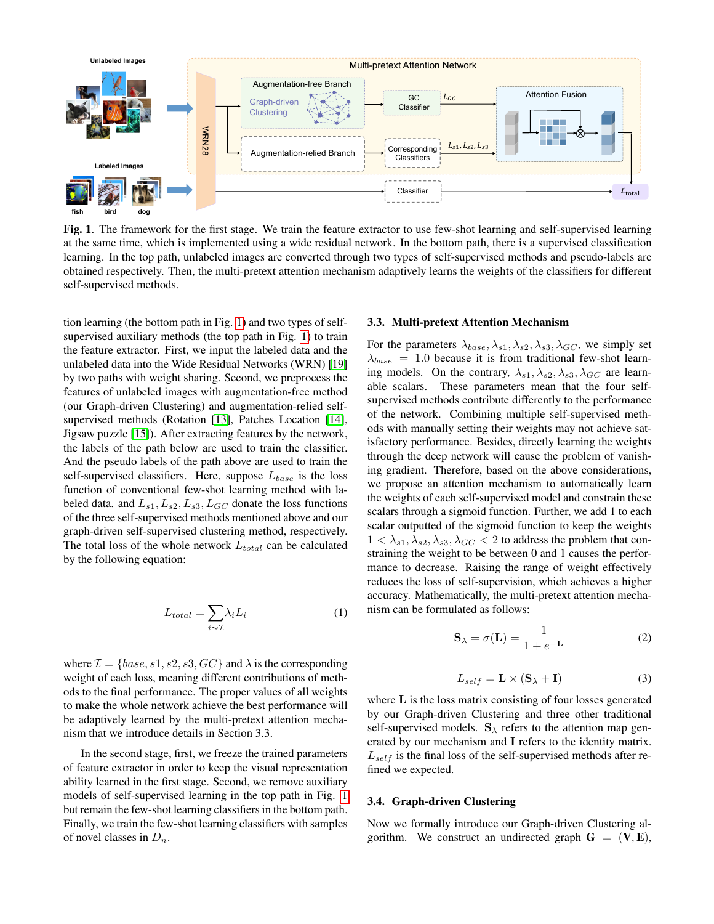

<span id="page-2-0"></span>Fig. 1. The framework for the first stage. We train the feature extractor to use few-shot learning and self-supervised learning at the same time, which is implemented using a wide residual network. In the bottom path, there is a supervised classification learning. In the top path, unlabeled images are converted through two types of self-supervised methods and pseudo-labels are obtained respectively. Then, the multi-pretext attention mechanism adaptively learns the weights of the classifiers for different self-supervised methods.

tion learning (the bottom path in Fig. [1\)](#page-2-0) and two types of selfsupervised auxiliary methods (the top path in Fig. [1\)](#page-2-0) to train the feature extractor. First, we input the labeled data and the unlabeled data into the Wide Residual Networks (WRN) [\[19\]](#page-5-18) by two paths with weight sharing. Second, we preprocess the features of unlabeled images with augmentation-free method (our Graph-driven Clustering) and augmentation-relied selfsupervised methods (Rotation [\[13\]](#page-5-12), Patches Location [\[14\]](#page-5-13), Jigsaw puzzle [\[15\]](#page-5-14)). After extracting features by the network, the labels of the path below are used to train the classifier. And the pseudo labels of the path above are used to train the self-supervised classifiers. Here, suppose  $L_{base}$  is the loss function of conventional few-shot learning method with labeled data. and  $L_{s1}, L_{s2}, L_{s3}, L_{GC}$  donate the loss functions of the three self-supervised methods mentioned above and our graph-driven self-supervised clustering method, respectively. The total loss of the whole network  $L_{total}$  can be calculated by the following equation:

$$
L_{total} = \sum_{i \sim \mathcal{I}} \lambda_i L_i \tag{1}
$$

where  $\mathcal{I} = \{base, s1, s2, s3, GC\}$  and  $\lambda$  is the corresponding weight of each loss, meaning different contributions of methods to the final performance. The proper values of all weights to make the whole network achieve the best performance will be adaptively learned by the multi-pretext attention mechanism that we introduce details in Section 3.3.

In the second stage, first, we freeze the trained parameters of feature extractor in order to keep the visual representation ability learned in the first stage. Second, we remove auxiliary models of self-supervised learning in the top path in Fig. [1](#page-2-0) but remain the few-shot learning classifiers in the bottom path. Finally, we train the few-shot learning classifiers with samples of novel classes in  $D_n$ .

#### 3.3. Multi-pretext Attention Mechanism

For the parameters  $\lambda_{base}, \lambda_{s1}, \lambda_{s2}, \lambda_{s3}, \lambda_{GC}$ , we simply set  $\lambda_{base}$  = 1.0 because it is from traditional few-shot learning models. On the contrary,  $\lambda_{s1}, \lambda_{s2}, \lambda_{s3}, \lambda_{GC}$  are learnable scalars. These parameters mean that the four selfsupervised methods contribute differently to the performance of the network. Combining multiple self-supervised methods with manually setting their weights may not achieve satisfactory performance. Besides, directly learning the weights through the deep network will cause the problem of vanishing gradient. Therefore, based on the above considerations, we propose an attention mechanism to automatically learn the weights of each self-supervised model and constrain these scalars through a sigmoid function. Further, we add 1 to each scalar outputted of the sigmoid function to keep the weights  $1 < \lambda_{s1}, \lambda_{s2}, \lambda_{s3}, \lambda_{GC} < 2$  to address the problem that constraining the weight to be between 0 and 1 causes the performance to decrease. Raising the range of weight effectively reduces the loss of self-supervision, which achieves a higher accuracy. Mathematically, the multi-pretext attention mechanism can be formulated as follows:

$$
\mathbf{S}_{\lambda} = \sigma(\mathbf{L}) = \frac{1}{1 + e^{-\mathbf{L}}} \tag{2}
$$

$$
L_{self} = \mathbf{L} \times (\mathbf{S}_{\lambda} + \mathbf{I})
$$
 (3)

where L is the loss matrix consisting of four losses generated by our Graph-driven Clustering and three other traditional self-supervised models.  $S_{\lambda}$  refers to the attention map generated by our mechanism and I refers to the identity matrix.  $L_{self}$  is the final loss of the self-supervised methods after refined we expected.

# 3.4. Graph-driven Clustering

Now we formally introduce our Graph-driven Clustering algorithm. We construct an undirected graph  $G = (V, E)$ ,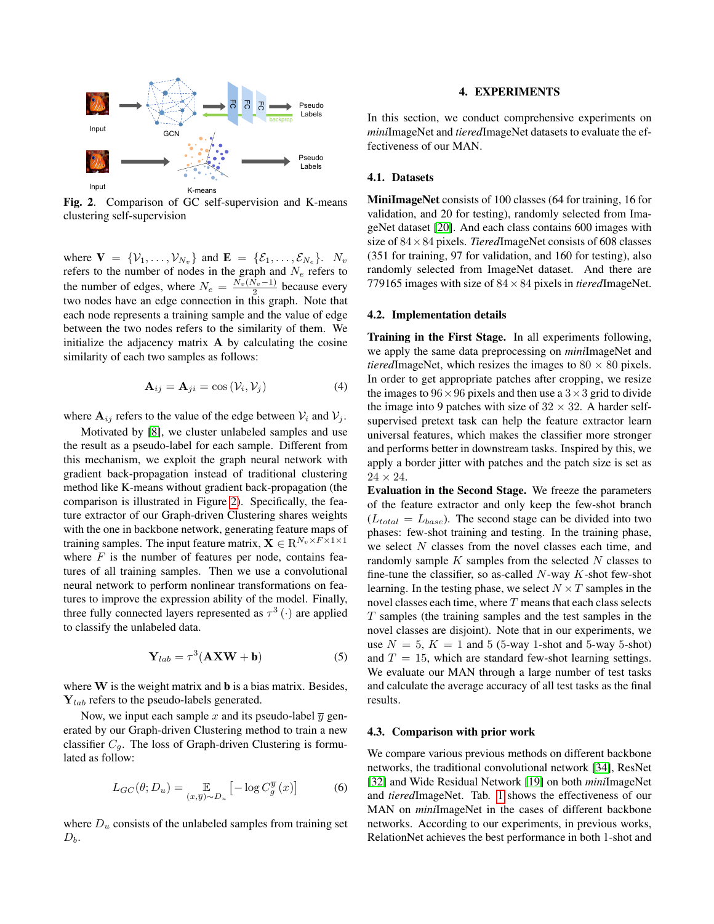

<span id="page-3-0"></span>Fig. 2. Comparison of GC self-supervision and K-means clustering self-supervision

where  $\mathbf{V} = \{V_1, \dots, V_{N_v}\}\$  and  $\mathbf{E} = \{\mathcal{E}_1, \dots, \mathcal{E}_{N_e}\}\$ .  $N_v$ refers to the number of nodes in the graph and  $N_e$  refers to the number of edges, where  $N_e = \frac{N_v(N_v-1)}{2}$  because every two nodes have an edge connection in this graph. Note that each node represents a training sample and the value of edge between the two nodes refers to the similarity of them. We initialize the adjacency matrix  $A$  by calculating the cosine similarity of each two samples as follows:

$$
\mathbf{A}_{ij} = \mathbf{A}_{ji} = \cos(\mathcal{V}_i, \mathcal{V}_j)
$$
(4)

where  $A_{ij}$  refers to the value of the edge between  $V_i$  and  $V_j$ .

Motivated by [\[8\]](#page-5-7), we cluster unlabeled samples and use the result as a pseudo-label for each sample. Different from this mechanism, we exploit the graph neural network with gradient back-propagation instead of traditional clustering method like K-means without gradient back-propagation (the comparison is illustrated in Figure [2\)](#page-3-0). Specifically, the feature extractor of our Graph-driven Clustering shares weights with the one in backbone network, generating feature maps of training samples. The input feature matrix,  $\mathbf{X} \in \mathbb{R}^{N_v \times F \times 1 \times 1}$ where  $F$  is the number of features per node, contains features of all training samples. Then we use a convolutional neural network to perform nonlinear transformations on features to improve the expression ability of the model. Finally, three fully connected layers represented as  $\tau^3(\cdot)$  are applied to classify the unlabeled data.

$$
\mathbf{Y}_{lab} = \tau^3 (\mathbf{AXW} + \mathbf{b}) \tag{5}
$$

where  $W$  is the weight matrix and  $b$  is a bias matrix. Besides,  $Y_{lab}$  refers to the pseudo-labels generated.

Now, we input each sample x and its pseudo-label  $\overline{y}$  generated by our Graph-driven Clustering method to train a new classifier  $C_g$ . The loss of Graph-driven Clustering is formulated as follow:

$$
L_{GC}(\theta; D_u) = \mathop{\mathbb{E}}_{(x,\overline{y}) \sim D_u} \left[ -\log C_g^{\overline{y}}(x) \right] \tag{6}
$$

where  $D<sub>u</sub>$  consists of the unlabeled samples from training set  $D_b$ .

#### 4. EXPERIMENTS

In this section, we conduct comprehensive experiments on *mini*ImageNet and *tiered*ImageNet datasets to evaluate the effectiveness of our MAN.

#### 4.1. Datasets

MiniImageNet consists of 100 classes (64 for training, 16 for validation, and 20 for testing), randomly selected from ImageNet dataset [\[20\]](#page-5-19). And each class contains 600 images with size of 84×84 pixels. *Tiered*ImageNet consists of 608 classes (351 for training, 97 for validation, and 160 for testing), also randomly selected from ImageNet dataset. And there are 779165 images with size of 84×84 pixels in *tiered*ImageNet.

## 4.2. Implementation details

Training in the First Stage. In all experiments following, we apply the same data preprocessing on *mini*ImageNet and *tiered*ImageNet, which resizes the images to  $80 \times 80$  pixels. In order to get appropriate patches after cropping, we resize the images to  $96 \times 96$  pixels and then use a  $3 \times 3$  grid to divide the image into 9 patches with size of  $32 \times 32$ . A harder selfsupervised pretext task can help the feature extractor learn universal features, which makes the classifier more stronger and performs better in downstream tasks. Inspired by this, we apply a border jitter with patches and the patch size is set as  $24 \times 24$ .

Evaluation in the Second Stage. We freeze the parameters of the feature extractor and only keep the few-shot branch  $(L_{total} = L_{base})$ . The second stage can be divided into two phases: few-shot training and testing. In the training phase, we select N classes from the novel classes each time, and randomly sample  $K$  samples from the selected  $N$  classes to fine-tune the classifier, so as-called  $N$ -way  $K$ -shot few-shot learning. In the testing phase, we select  $N \times T$  samples in the novel classes each time, where  $T$  means that each class selects  $T$  samples (the training samples and the test samples in the novel classes are disjoint). Note that in our experiments, we use  $N = 5$ ,  $K = 1$  and 5 (5-way 1-shot and 5-way 5-shot) and  $T = 15$ , which are standard few-shot learning settings. We evaluate our MAN through a large number of test tasks and calculate the average accuracy of all test tasks as the final results.

#### 4.3. Comparison with prior work

We compare various previous methods on different backbone networks, the traditional convolutional network [\[34\]](#page-6-0), ResNet [\[32\]](#page-6-1) and Wide Residual Network [\[19\]](#page-5-18) on both *mini*ImageNet and *tiered*ImageNet. Tab. [1](#page-4-0) shows the effectiveness of our MAN on *mini*ImageNet in the cases of different backbone networks. According to our experiments, in previous works, RelationNet achieves the best performance in both 1-shot and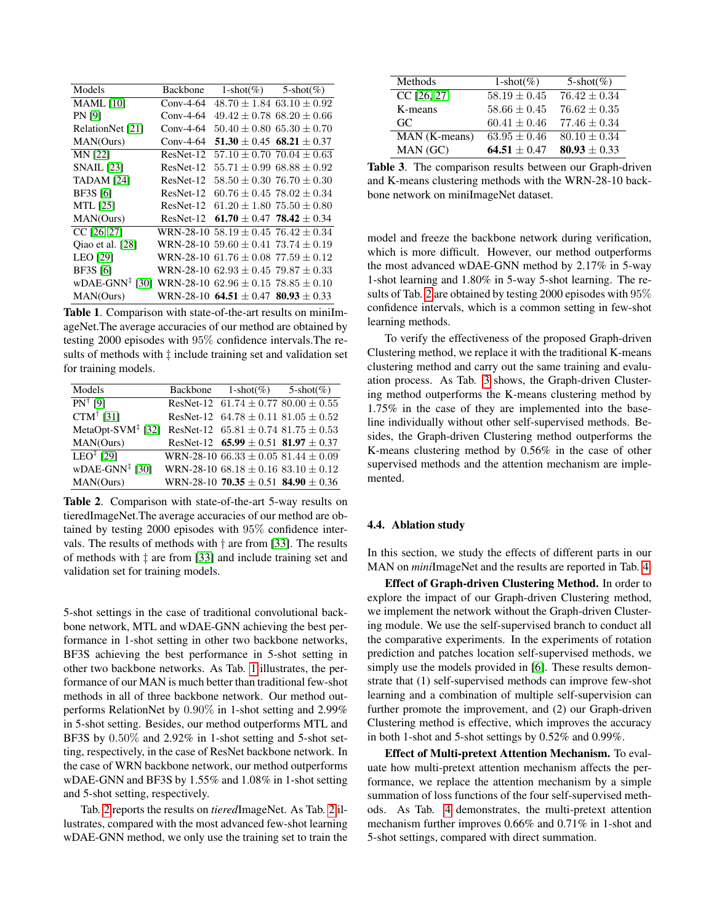| Models                                                                 | <b>Backbone</b> |                                             | $1\text{-shot}(\%)$ 5-shot(%)     |
|------------------------------------------------------------------------|-----------------|---------------------------------------------|-----------------------------------|
| <b>MAML</b> [10]                                                       | $Conv-4-64$     |                                             | $48.70 \pm 1.84$ 63.10 $\pm$ 0.92 |
| <b>PN</b> [9]                                                          | $Conv-4-64$     |                                             | $49.42 \pm 0.78$ 68.20 $\pm$ 0.66 |
| RelationNet [21]                                                       | $Conv-4-64$     |                                             | $50.40 \pm 0.80$ 65.30 $\pm$ 0.70 |
| MAN(Ours)                                                              | $Conv-4-64$     |                                             | $51.30 \pm 0.45$ 68.21 $\pm 0.37$ |
| <b>MN [22]</b>                                                         | ResNet-12       |                                             | $57.10 \pm 0.70$ $70.04 \pm 0.63$ |
| <b>SNAIL</b> [23]                                                      | ResNet-12       |                                             | $55.71 + 0.9968.88 + 0.92$        |
| <b>TADAM</b> [24]                                                      | ResNet-12       | $58.50 \pm 0.30$ 76.70 $\pm$ 0.30           |                                   |
| <b>BF3S</b> [6]                                                        | ResNet-12       | $60.76 \pm 0.45$ 78.02 $\pm$ 0.34           |                                   |
| <b>MTL</b> [25]                                                        | ResNet-12       | $61.20 \pm 1.80$ 75.50 $\pm$ 0.80           |                                   |
| MAN(Ours)                                                              | ResNet-12       | 61.70 $\pm$ 0.47 78.42 $\pm$ 0.34           |                                   |
| CC [26, 27]                                                            |                 | WRN-28-10 58.19 $\pm$ 0.45 76.42 $\pm$ 0.34 |                                   |
| Qiao et al. [28]                                                       |                 | WRN-28-10 59.60 $\pm$ 0.41 73.74 $\pm$ 0.19 |                                   |
| <b>LEO</b> [29]                                                        |                 | WRN-28-10 61.76 $\pm$ 0.08 77.59 $\pm$ 0.12 |                                   |
| <b>BF3S</b> [6]                                                        |                 | WRN-28-10 $62.93 \pm 0.45$ 79.87 $\pm 0.33$ |                                   |
| wDAE-GNN <sup>‡</sup> [30] WRN-28-10 62.96 $\pm$ 0.15 78.85 $\pm$ 0.10 |                 |                                             |                                   |
| MAN(Ours)                                                              |                 | WRN-28-10 64.51 $\pm$ 0.47 80.93 $\pm$ 0.33 |                                   |

<span id="page-4-0"></span>Table 1. Comparison with state-of-the-art results on miniImageNet.The average accuracies of our method are obtained by testing 2000 episodes with 95% confidence intervals.The results of methods with ‡ include training set and validation set for training models.

| Models                                     | Backbone $1\text{-shot}(\%)$ 5-shot(%)         |  |
|--------------------------------------------|------------------------------------------------|--|
| $PN^{\dagger}$ [9]                         | ResNet-12 $61.74 \pm 0.77$ 80.00 $\pm$ 0.55    |  |
| CTM <sup>†</sup> [31]                      | ResNet-12 $64.78 \pm 0.11$ $81.05 \pm 0.52$    |  |
| MetaOpt-SVM <sup><math>‡</math></sup> [32] | ResNet-12 $65.81 \pm 0.74$ $81.75 \pm 0.53$    |  |
| MAN(Ours)                                  | ResNet-12 $65.99 \pm 0.51$ 81.97 $\pm 0.37$    |  |
| $LEO†$ [29]                                | WRN-28-10 66.33 $\pm$ 0.05 81.44 $\pm$ 0.09    |  |
| $wDAE-GNN^{\ddagger}$ [30]                 | WRN-28-10 $68.18 \pm 0.16$<br>$83.10 \pm 0.12$ |  |
| MAN(Ours)                                  | WRN-28-10 70.35 $\pm$ 0.51 84.90 $\pm$ 0.36    |  |

<span id="page-4-1"></span>Table 2. Comparison with state-of-the-art 5-way results on tieredImageNet.The average accuracies of our method are obtained by testing 2000 episodes with 95% confidence intervals. The results of methods with  $\dagger$  are from [\[33\]](#page-6-10). The results of methods with ‡ are from [\[33\]](#page-6-10) and include training set and validation set for training models.

5-shot settings in the case of traditional convolutional backbone network, MTL and wDAE-GNN achieving the best performance in 1-shot setting in other two backbone networks, BF3S achieving the best performance in 5-shot setting in other two backbone networks. As Tab. [1](#page-4-0) illustrates, the performance of our MAN is much better than traditional few-shot methods in all of three backbone network. Our method outperforms RelationNet by 0.90% in 1-shot setting and 2.99% in 5-shot setting. Besides, our method outperforms MTL and BF3S by 0.50% and 2.92% in 1-shot setting and 5-shot setting, respectively, in the case of ResNet backbone network. In the case of WRN backbone network, our method outperforms wDAE-GNN and BF3S by 1.55% and 1.08% in 1-shot setting and 5-shot setting, respectively.

Tab. [2](#page-4-1) reports the results on *tiered*ImageNet. As Tab. [2](#page-4-1) illustrates, compared with the most advanced few-shot learning wDAE-GNN method, we only use the training set to train the

| Methods       | $1-shot(%)$      | $5-shot(\%)$     |
|---------------|------------------|------------------|
| CC [26, 27]   | $58.19 \pm 0.45$ | $76.42 \pm 0.34$ |
| K-means       | $58.66 \pm 0.45$ | $76.62 \pm 0.35$ |
| GC.           | $60.41 \pm 0.46$ | $77.46 \pm 0.34$ |
| MAN (K-means) | $63.95 \pm 0.46$ | $80.10 \pm 0.34$ |
| MAN (GC)      | $64.51 + 0.47$   | $80.93 \pm 0.33$ |

<span id="page-4-2"></span>Table 3. The comparison results between our Graph-driven and K-means clustering methods with the WRN-28-10 backbone network on miniImageNet dataset.

model and freeze the backbone network during verification, which is more difficult. However, our method outperforms the most advanced wDAE-GNN method by 2.17% in 5-way 1-shot learning and 1.80% in 5-way 5-shot learning. The results of Tab. [2](#page-4-1) are obtained by testing 2000 episodes with 95% confidence intervals, which is a common setting in few-shot learning methods.

To verify the effectiveness of the proposed Graph-driven Clustering method, we replace it with the traditional K-means clustering method and carry out the same training and evaluation process. As Tab. [3](#page-4-2) shows, the Graph-driven Clustering method outperforms the K-means clustering method by 1.75% in the case of they are implemented into the baseline individually without other self-supervised methods. Besides, the Graph-driven Clustering method outperforms the K-means clustering method by 0.56% in the case of other supervised methods and the attention mechanism are implemented.

## 4.4. Ablation study

In this section, we study the effects of different parts in our MAN on *mini*ImageNet and the results are reported in Tab. [4.](#page-5-23)

Effect of Graph-driven Clustering Method. In order to explore the impact of our Graph-driven Clustering method, we implement the network without the Graph-driven Clustering module. We use the self-supervised branch to conduct all the comparative experiments. In the experiments of rotation prediction and patches location self-supervised methods, we simply use the models provided in [\[6\]](#page-5-5). These results demonstrate that (1) self-supervised methods can improve few-shot learning and a combination of multiple self-supervision can further promote the improvement, and (2) our Graph-driven Clustering method is effective, which improves the accuracy in both 1-shot and 5-shot settings by 0.52% and 0.99%.

Effect of Multi-pretext Attention Mechanism. To evaluate how multi-pretext attention mechanism affects the performance, we replace the attention mechanism by a simple summation of loss functions of the four self-supervised methods. As Tab. [4](#page-5-23) demonstrates, the multi-pretext attention mechanism further improves 0.66% and 0.71% in 1-shot and 5-shot settings, compared with direct summation.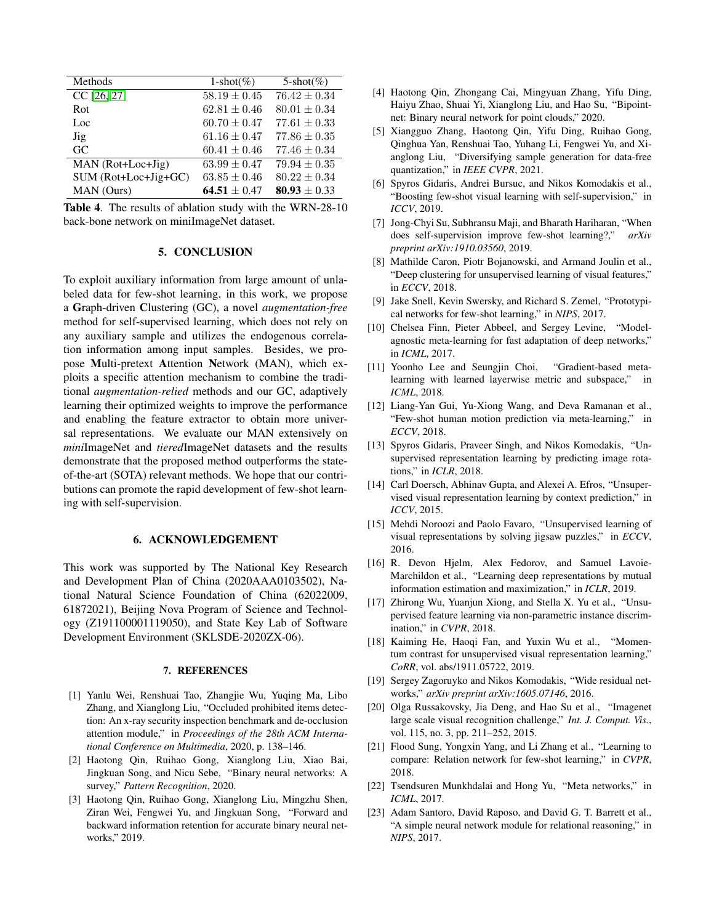| Methods              | $1-shot(%)$      | $5-shot(\%)$     |
|----------------------|------------------|------------------|
| CC [26, 27]          | $58.19 \pm 0.45$ | $76.42 \pm 0.34$ |
| Rot                  | $62.81 \pm 0.46$ | $80.01 \pm 0.34$ |
| Loc                  | $60.70 \pm 0.47$ | $77.61 \pm 0.33$ |
| Jig                  | $61.16 \pm 0.47$ | $77.86 \pm 0.35$ |
| GC                   | $60.41 \pm 0.46$ | $77.46 \pm 0.34$ |
| $MAN (Rot+Loc+Jig)$  | $63.99 \pm 0.47$ | $79.94 \pm 0.35$ |
| SUM (Rot+Loc+Jig+GC) | $63.85 \pm 0.46$ | $80.22 \pm 0.34$ |
| MAN (Ours)           | $64.51 + 0.47$   | 80.93 $\pm$ 0.33 |

<span id="page-5-23"></span>Table 4. The results of ablation study with the WRN-28-10 back-bone network on miniImageNet dataset.

#### 5. CONCLUSION

To exploit auxiliary information from large amount of unlabeled data for few-shot learning, in this work, we propose a Graph-driven Clustering (GC), a novel *augmentation-free* method for self-supervised learning, which does not rely on any auxiliary sample and utilizes the endogenous correlation information among input samples. Besides, we propose Multi-pretext Attention Network (MAN), which exploits a specific attention mechanism to combine the traditional *augmentation-relied* methods and our GC, adaptively learning their optimized weights to improve the performance and enabling the feature extractor to obtain more universal representations. We evaluate our MAN extensively on *mini*ImageNet and *tiered*ImageNet datasets and the results demonstrate that the proposed method outperforms the stateof-the-art (SOTA) relevant methods. We hope that our contributions can promote the rapid development of few-shot learning with self-supervision.

## 6. ACKNOWLEDGEMENT

This work was supported by The National Key Research and Development Plan of China (2020AAA0103502), National Natural Science Foundation of China (62022009, 61872021), Beijing Nova Program of Science and Technology (Z191100001119050), and State Key Lab of Software Development Environment (SKLSDE-2020ZX-06).

#### 7. REFERENCES

- <span id="page-5-0"></span>[1] Yanlu Wei, Renshuai Tao, Zhangjie Wu, Yuqing Ma, Libo Zhang, and Xianglong Liu, "Occluded prohibited items detection: An x-ray security inspection benchmark and de-occlusion attention module," in *Proceedings of the 28th ACM International Conference on Multimedia*, 2020, p. 138–146.
- <span id="page-5-1"></span>[2] Haotong Qin, Ruihao Gong, Xianglong Liu, Xiao Bai, Jingkuan Song, and Nicu Sebe, "Binary neural networks: A survey," *Pattern Recognition*, 2020.
- <span id="page-5-2"></span>[3] Haotong Qin, Ruihao Gong, Xianglong Liu, Mingzhu Shen, Ziran Wei, Fengwei Yu, and Jingkuan Song, "Forward and backward information retention for accurate binary neural networks," 2019.
- <span id="page-5-3"></span>[4] Haotong Qin, Zhongang Cai, Mingyuan Zhang, Yifu Ding, Haiyu Zhao, Shuai Yi, Xianglong Liu, and Hao Su, "Bipointnet: Binary neural network for point clouds," 2020.
- <span id="page-5-4"></span>[5] Xiangguo Zhang, Haotong Qin, Yifu Ding, Ruihao Gong, Qinghua Yan, Renshuai Tao, Yuhang Li, Fengwei Yu, and Xianglong Liu, "Diversifying sample generation for data-free quantization," in *IEEE CVPR*, 2021.
- <span id="page-5-5"></span>[6] Spyros Gidaris, Andrei Bursuc, and Nikos Komodakis et al., "Boosting few-shot visual learning with self-supervision," in *ICCV*, 2019.
- <span id="page-5-6"></span>[7] Jong-Chyi Su, Subhransu Maji, and Bharath Hariharan, "When does self-supervision improve few-shot learning?," *arXiv preprint arXiv:1910.03560*, 2019.
- <span id="page-5-7"></span>[8] Mathilde Caron, Piotr Bojanowski, and Armand Joulin et al., "Deep clustering for unsupervised learning of visual features," in *ECCV*, 2018.
- <span id="page-5-8"></span>[9] Jake Snell, Kevin Swersky, and Richard S. Zemel, "Prototypical networks for few-shot learning," in *NIPS*, 2017.
- <span id="page-5-9"></span>[10] Chelsea Finn, Pieter Abbeel, and Sergey Levine, "Modelagnostic meta-learning for fast adaptation of deep networks," in *ICML*, 2017.
- <span id="page-5-10"></span>[11] Yoonho Lee and Seungjin Choi, "Gradient-based metalearning with learned layerwise metric and subspace," in *ICML*, 2018.
- <span id="page-5-11"></span>[12] Liang-Yan Gui, Yu-Xiong Wang, and Deva Ramanan et al., "Few-shot human motion prediction via meta-learning," in *ECCV*, 2018.
- <span id="page-5-12"></span>[13] Spyros Gidaris, Praveer Singh, and Nikos Komodakis, "Unsupervised representation learning by predicting image rotations," in *ICLR*, 2018.
- <span id="page-5-13"></span>[14] Carl Doersch, Abhinav Gupta, and Alexei A. Efros, "Unsupervised visual representation learning by context prediction," in *ICCV*, 2015.
- <span id="page-5-14"></span>[15] Mehdi Noroozi and Paolo Favaro, "Unsupervised learning of visual representations by solving jigsaw puzzles," in *ECCV*, 2016.
- <span id="page-5-15"></span>[16] R. Devon Hjelm, Alex Fedorov, and Samuel Lavoie-Marchildon et al., "Learning deep representations by mutual information estimation and maximization," in *ICLR*, 2019.
- <span id="page-5-16"></span>[17] Zhirong Wu, Yuanjun Xiong, and Stella X. Yu et al., "Unsupervised feature learning via non-parametric instance discrimination," in *CVPR*, 2018.
- <span id="page-5-17"></span>[18] Kaiming He, Haoqi Fan, and Yuxin Wu et al., "Momentum contrast for unsupervised visual representation learning," *CoRR*, vol. abs/1911.05722, 2019.
- <span id="page-5-18"></span>[19] Sergey Zagoruyko and Nikos Komodakis, "Wide residual networks," *arXiv preprint arXiv:1605.07146*, 2016.
- <span id="page-5-19"></span>[20] Olga Russakovsky, Jia Deng, and Hao Su et al., "Imagenet large scale visual recognition challenge," *Int. J. Comput. Vis.*, vol. 115, no. 3, pp. 211–252, 2015.
- <span id="page-5-20"></span>[21] Flood Sung, Yongxin Yang, and Li Zhang et al., "Learning to compare: Relation network for few-shot learning," in *CVPR*, 2018.
- <span id="page-5-21"></span>[22] Tsendsuren Munkhdalai and Hong Yu, "Meta networks," in *ICML*, 2017.
- <span id="page-5-22"></span>[23] Adam Santoro, David Raposo, and David G. T. Barrett et al., "A simple neural network module for relational reasoning," in *NIPS*, 2017.